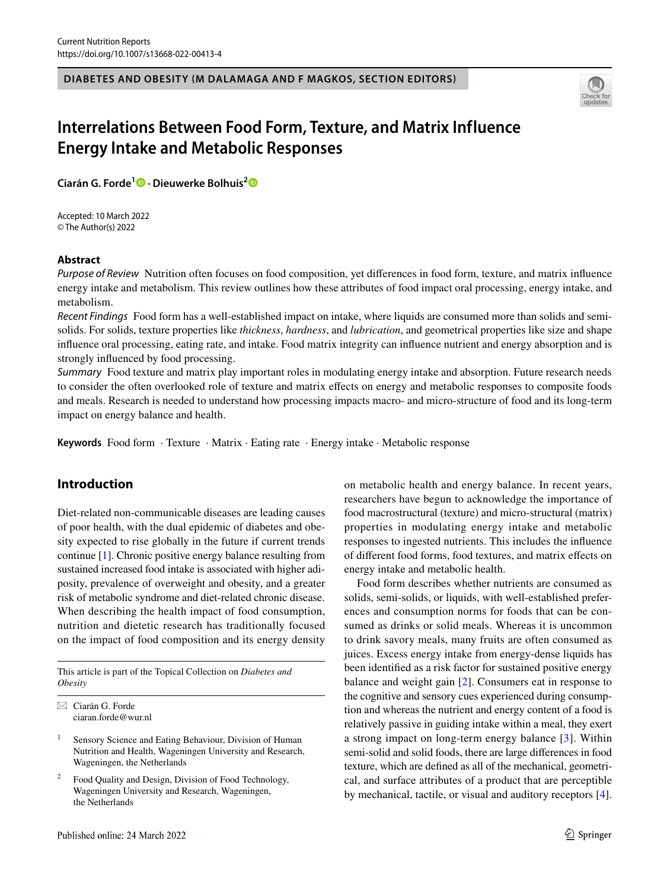#### **DIABETES AND OBESITY (M DALAMAGA AND F MAGKOS, SECTION EDITORS)**



# **Interrelations Between Food Form, Texture, and Matrix Influence Energy Intake and Metabolic Responses**

**Ciarán G. Forde<sup>1</sup> · Dieuwerke Bolhuis[2](http://orcid.org/0000-0001-6734-5191)**

Accepted: 10 March 2022 © The Author(s) 2022

#### **Abstract**

*Purpose of Review* Nutrition often focuses on food composition, yet diferences in food form, texture, and matrix infuence energy intake and metabolism. This review outlines how these attributes of food impact oral processing, energy intake, and metabolism.

*Recent Findings* Food form has a well-established impact on intake, where liquids are consumed more than solids and semisolids. For solids, texture properties like *thickness*, *hardness*, and *lubrication*, and geometrical properties like size and shape infuence oral processing, eating rate, and intake. Food matrix integrity can infuence nutrient and energy absorption and is strongly infuenced by food processing.

*Summary* Food texture and matrix play important roles in modulating energy intake and absorption. Future research needs to consider the often overlooked role of texture and matrix efects on energy and metabolic responses to composite foods and meals. Research is needed to understand how processing impacts macro- and micro-structure of food and its long-term impact on energy balance and health.

**Keywords** Food form · Texture · Matrix · Eating rate · Energy intake · Metabolic response

## **Introduction**

Diet-related non-communicable diseases are leading causes of poor health, with the dual epidemic of diabetes and obesity expected to rise globally in the future if current trends continue [[1\]](#page-6-0). Chronic positive energy balance resulting from sustained increased food intake is associated with higher adiposity, prevalence of overweight and obesity, and a greater risk of metabolic syndrome and diet-related chronic disease. When describing the health impact of food consumption, nutrition and dietetic research has traditionally focused on the impact of food composition and its energy density

This article is part of the Topical Collection on *Diabetes and Obesity*

 $\boxtimes$  Ciarán G. Forde ciaran.forde@wur.nl

- <sup>1</sup> Sensory Science and Eating Behaviour, Division of Human Nutrition and Health, Wageningen University and Research, Wageningen, the Netherlands
- Food Quality and Design, Division of Food Technology, Wageningen University and Research, Wageningen, the Netherlands

on metabolic health and energy balance. In recent years, researchers have begun to acknowledge the importance of food macrostructural (texture) and micro-structural (matrix) properties in modulating energy intake and metabolic responses to ingested nutrients. This includes the infuence of diferent food forms, food textures, and matrix efects on energy intake and metabolic health.

Food form describes whether nutrients are consumed as solids, semi-solids, or liquids, with well-established preferences and consumption norms for foods that can be consumed as drinks or solid meals. Whereas it is uncommon to drink savory meals, many fruits are often consumed as juices. Excess energy intake from energy-dense liquids has been identifed as a risk factor for sustained positive energy balance and weight gain [[2\]](#page-6-1). Consumers eat in response to the cognitive and sensory cues experienced during consumption and whereas the nutrient and energy content of a food is relatively passive in guiding intake within a meal, they exert a strong impact on long-term energy balance [\[3](#page-6-2)]. Within semi-solid and solid foods, there are large diferences in food texture, which are defned as all of the mechanical, geometrical, and surface attributes of a product that are perceptible by mechanical, tactile, or visual and auditory receptors [\[4](#page-6-3)].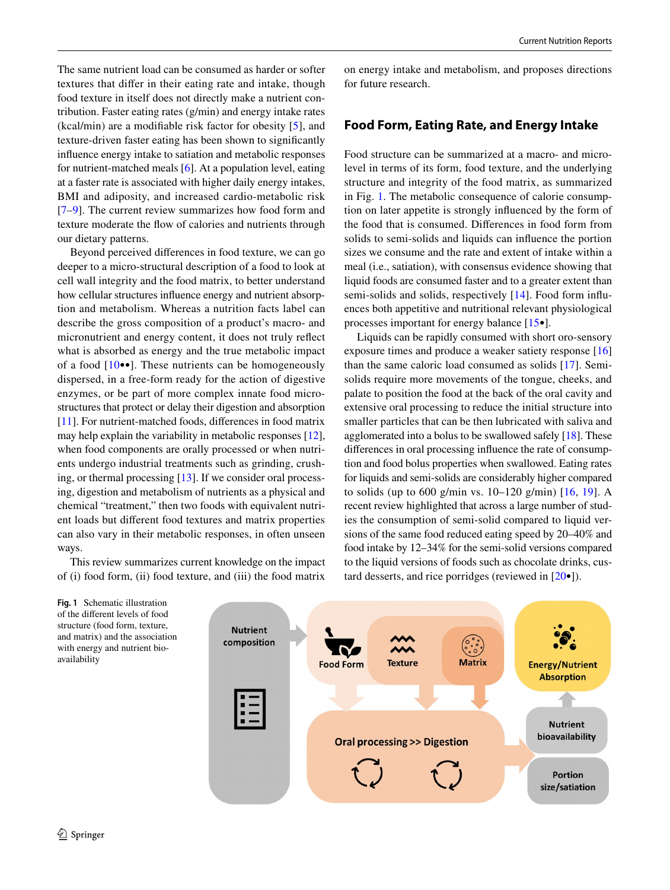The same nutrient load can be consumed as harder or softer textures that difer in their eating rate and intake, though food texture in itself does not directly make a nutrient contribution. Faster eating rates (g/min) and energy intake rates (kcal/min) are a modifable risk factor for obesity [[5\]](#page-6-4), and texture-driven faster eating has been shown to signifcantly infuence energy intake to satiation and metabolic responses for nutrient-matched meals [\[6](#page-6-5)]. At a population level, eating at a faster rate is associated with higher daily energy intakes, BMI and adiposity, and increased cardio-metabolic risk [\[7–](#page-6-6)[9\]](#page-6-7). The current review summarizes how food form and texture moderate the fow of calories and nutrients through our dietary patterns.

Beyond perceived diferences in food texture, we can go deeper to a micro-structural description of a food to look at cell wall integrity and the food matrix, to better understand how cellular structures infuence energy and nutrient absorption and metabolism. Whereas a nutrition facts label can describe the gross composition of a product's macro- and micronutrient and energy content, it does not truly refect what is absorbed as energy and the true metabolic impact of a food  $[10\bullet\bullet]$ . These nutrients can be homogeneously dispersed, in a free-form ready for the action of digestive enzymes, or be part of more complex innate food microstructures that protect or delay their digestion and absorption [\[11](#page-6-9)]. For nutrient-matched foods, differences in food matrix may help explain the variability in metabolic responses [\[12](#page-6-10)], when food components are orally processed or when nutrients undergo industrial treatments such as grinding, crushing, or thermal processing [[13\]](#page-6-11). If we consider oral processing, digestion and metabolism of nutrients as a physical and chemical "treatment," then two foods with equivalent nutrient loads but diferent food textures and matrix properties can also vary in their metabolic responses, in often unseen ways.

This review summarizes current knowledge on the impact of (i) food form, (ii) food texture, and (iii) the food matrix

on energy intake and metabolism, and proposes directions for future research.

### **Food Form, Eating Rate, and Energy Intake**

Food structure can be summarized at a macro- and microlevel in terms of its form, food texture, and the underlying structure and integrity of the food matrix, as summarized in Fig. [1.](#page-1-0) The metabolic consequence of calorie consumption on later appetite is strongly infuenced by the form of the food that is consumed. Diferences in food form from solids to semi-solids and liquids can infuence the portion sizes we consume and the rate and extent of intake within a meal (i.e., satiation), with consensus evidence showing that liquid foods are consumed faster and to a greater extent than semi-solids and solids, respectively [\[14](#page-6-12)]. Food form influences both appetitive and nutritional relevant physiological processes important for energy balance [[15•](#page-6-13)].

Liquids can be rapidly consumed with short oro-sensory exposure times and produce a weaker satiety response [[16\]](#page-6-14) than the same caloric load consumed as solids [\[17](#page-6-15)]. Semisolids require more movements of the tongue, cheeks, and palate to position the food at the back of the oral cavity and extensive oral processing to reduce the initial structure into smaller particles that can be then lubricated with saliva and agglomerated into a bolus to be swallowed safely [[18\]](#page-6-16). These diferences in oral processing infuence the rate of consumption and food bolus properties when swallowed. Eating rates for liquids and semi-solids are considerably higher compared to solids (up to 600 g/min vs. 10–120 g/min) [\[16,](#page-6-14) [19\]](#page-6-17). A recent review highlighted that across a large number of studies the consumption of semi-solid compared to liquid versions of the same food reduced eating speed by 20–40% and food intake by 12–34% for the semi-solid versions compared to the liquid versions of foods such as chocolate drinks, custard desserts, and rice porridges (reviewed in [\[20](#page-6-18)•]).



<span id="page-1-0"></span>**Fig. 1** Schematic illustration of the diferent levels of food structure (food form, texture, and matrix) and the association with energy and nutrient bioavailability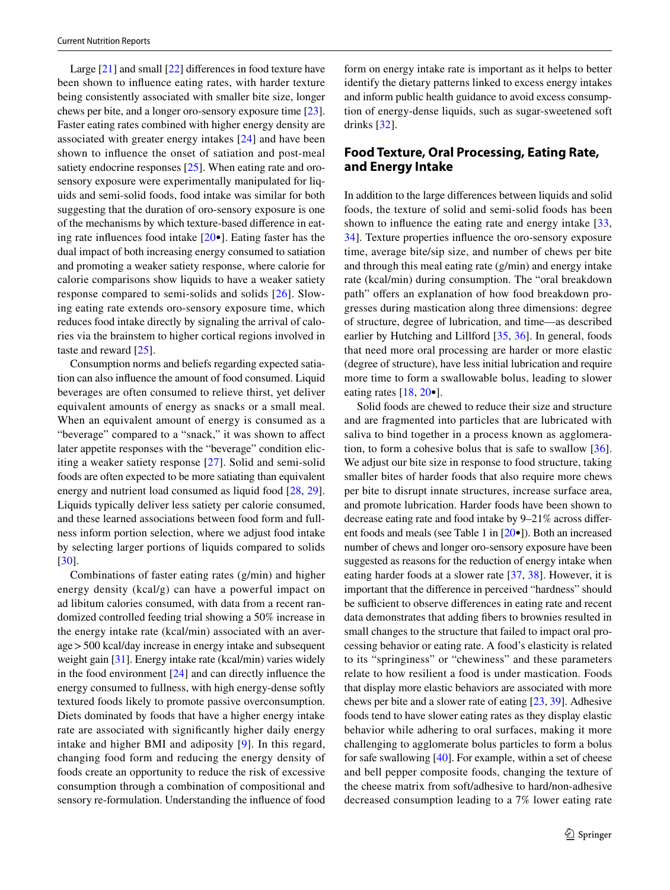Large [[21\]](#page-6-19) and small [[22\]](#page-6-20) diferences in food texture have been shown to infuence eating rates, with harder texture being consistently associated with smaller bite size, longer chews per bite, and a longer oro-sensory exposure time [\[23](#page-6-21)]. Faster eating rates combined with higher energy density are associated with greater energy intakes [\[24](#page-6-22)] and have been shown to infuence the onset of satiation and post-meal satiety endocrine responses [[25\]](#page-6-23). When eating rate and orosensory exposure were experimentally manipulated for liquids and semi-solid foods, food intake was similar for both suggesting that the duration of oro-sensory exposure is one of the mechanisms by which texture-based diference in eating rate infuences food intake [[20](#page-6-18)•]. Eating faster has the dual impact of both increasing energy consumed to satiation and promoting a weaker satiety response, where calorie for calorie comparisons show liquids to have a weaker satiety response compared to semi-solids and solids [\[26\]](#page-6-24). Slowing eating rate extends oro-sensory exposure time, which reduces food intake directly by signaling the arrival of calories via the brainstem to higher cortical regions involved in taste and reward [\[25\]](#page-6-23).

Consumption norms and beliefs regarding expected satiation can also infuence the amount of food consumed. Liquid beverages are often consumed to relieve thirst, yet deliver equivalent amounts of energy as snacks or a small meal. When an equivalent amount of energy is consumed as a "beverage" compared to a "snack," it was shown to afect later appetite responses with the "beverage" condition eliciting a weaker satiety response [[27](#page-6-25)]. Solid and semi-solid foods are often expected to be more satiating than equivalent energy and nutrient load consumed as liquid food [[28,](#page-6-26) [29](#page-6-27)]. Liquids typically deliver less satiety per calorie consumed, and these learned associations between food form and fullness inform portion selection, where we adjust food intake by selecting larger portions of liquids compared to solids [\[30\]](#page-6-28).

Combinations of faster eating rates (g/min) and higher energy density (kcal/g) can have a powerful impact on ad libitum calories consumed, with data from a recent randomized controlled feeding trial showing a 50% increase in the energy intake rate (kcal/min) associated with an average>500 kcal/day increase in energy intake and subsequent weight gain [\[31](#page-6-29)]. Energy intake rate (kcal/min) varies widely in the food environment [[24](#page-6-22)] and can directly infuence the energy consumed to fullness, with high energy-dense softly textured foods likely to promote passive overconsumption. Diets dominated by foods that have a higher energy intake rate are associated with signifcantly higher daily energy intake and higher BMI and adiposity [[9\]](#page-6-7). In this regard, changing food form and reducing the energy density of foods create an opportunity to reduce the risk of excessive consumption through a combination of compositional and sensory re-formulation. Understanding the infuence of food form on energy intake rate is important as it helps to better identify the dietary patterns linked to excess energy intakes and inform public health guidance to avoid excess consumption of energy-dense liquids, such as sugar-sweetened soft drinks [\[32\]](#page-6-30).

# **Food Texture, Oral Processing, Eating Rate, and Energy Intake**

In addition to the large diferences between liquids and solid foods, the texture of solid and semi-solid foods has been shown to influence the eating rate and energy intake [\[33,](#page-6-31) [34](#page-7-0)]. Texture properties infuence the oro-sensory exposure time, average bite/sip size, and number of chews per bite and through this meal eating rate (g/min) and energy intake rate (kcal/min) during consumption. The "oral breakdown path" offers an explanation of how food breakdown progresses during mastication along three dimensions: degree of structure, degree of lubrication, and time—as described earlier by Hutching and Lillford [[35](#page-7-1), [36](#page-7-2)]. In general, foods that need more oral processing are harder or more elastic (degree of structure), have less initial lubrication and require more time to form a swallowable bolus, leading to slower eating rates  $[18, 20 \bullet]$  $[18, 20 \bullet]$  $[18, 20 \bullet]$  $[18, 20 \bullet]$ .

Solid foods are chewed to reduce their size and structure and are fragmented into particles that are lubricated with saliva to bind together in a process known as agglomeration, to form a cohesive bolus that is safe to swallow [\[36](#page-7-2)]. We adjust our bite size in response to food structure, taking smaller bites of harder foods that also require more chews per bite to disrupt innate structures, increase surface area, and promote lubrication. Harder foods have been shown to decrease eating rate and food intake by 9–21% across diferent foods and meals (see Table 1 in [[20](#page-6-18)•]). Both an increased number of chews and longer oro-sensory exposure have been suggested as reasons for the reduction of energy intake when eating harder foods at a slower rate [\[37](#page-7-3), [38\]](#page-7-4). However, it is important that the diference in perceived "hardness" should be sufficient to observe differences in eating rate and recent data demonstrates that adding fbers to brownies resulted in small changes to the structure that failed to impact oral processing behavior or eating rate. A food's elasticity is related to its "springiness" or "chewiness" and these parameters relate to how resilient a food is under mastication. Foods that display more elastic behaviors are associated with more chews per bite and a slower rate of eating [\[23](#page-6-21), [39\]](#page-7-5). Adhesive foods tend to have slower eating rates as they display elastic behavior while adhering to oral surfaces, making it more challenging to agglomerate bolus particles to form a bolus for safe swallowing [\[40](#page-7-6)]. For example, within a set of cheese and bell pepper composite foods, changing the texture of the cheese matrix from soft/adhesive to hard/non-adhesive decreased consumption leading to a 7% lower eating rate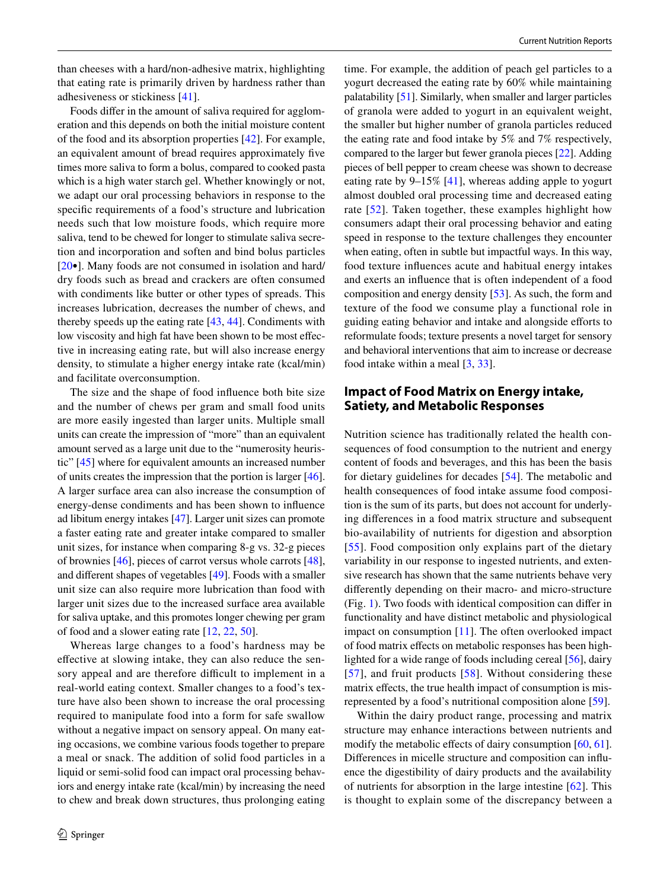than cheeses with a hard/non-adhesive matrix, highlighting that eating rate is primarily driven by hardness rather than adhesiveness or stickiness [[41\]](#page-7-7).

Foods difer in the amount of saliva required for agglomeration and this depends on both the initial moisture content of the food and its absorption properties [[42](#page-7-8)]. For example, an equivalent amount of bread requires approximately fve times more saliva to form a bolus, compared to cooked pasta which is a high water starch gel. Whether knowingly or not, we adapt our oral processing behaviors in response to the specifc requirements of a food's structure and lubrication needs such that low moisture foods, which require more saliva, tend to be chewed for longer to stimulate saliva secretion and incorporation and soften and bind bolus particles [\[20•](#page-6-18)]. Many foods are not consumed in isolation and hard/ dry foods such as bread and crackers are often consumed with condiments like butter or other types of spreads. This increases lubrication, decreases the number of chews, and thereby speeds up the eating rate [\[43](#page-7-9), [44](#page-7-10)]. Condiments with low viscosity and high fat have been shown to be most efective in increasing eating rate, but will also increase energy density, to stimulate a higher energy intake rate (kcal/min) and facilitate overconsumption.

The size and the shape of food infuence both bite size and the number of chews per gram and small food units are more easily ingested than larger units. Multiple small units can create the impression of "more" than an equivalent amount served as a large unit due to the "numerosity heuristic" [\[45](#page-7-11)] where for equivalent amounts an increased number of units creates the impression that the portion is larger [\[46](#page-7-12)]. A larger surface area can also increase the consumption of energy-dense condiments and has been shown to infuence ad libitum energy intakes [[47](#page-7-13)]. Larger unit sizes can promote a faster eating rate and greater intake compared to smaller unit sizes, for instance when comparing 8-g vs. 32-g pieces of brownies [[46\]](#page-7-12), pieces of carrot versus whole carrots [\[48](#page-7-14)], and diferent shapes of vegetables [\[49](#page-7-15)]. Foods with a smaller unit size can also require more lubrication than food with larger unit sizes due to the increased surface area available for saliva uptake, and this promotes longer chewing per gram of food and a slower eating rate [[12,](#page-6-10) [22,](#page-6-20) [50\]](#page-7-16).

Whereas large changes to a food's hardness may be efective at slowing intake, they can also reduce the sensory appeal and are therefore difficult to implement in a real-world eating context. Smaller changes to a food's texture have also been shown to increase the oral processing required to manipulate food into a form for safe swallow without a negative impact on sensory appeal. On many eating occasions, we combine various foods together to prepare a meal or snack. The addition of solid food particles in a liquid or semi-solid food can impact oral processing behaviors and energy intake rate (kcal/min) by increasing the need to chew and break down structures, thus prolonging eating

time. For example, the addition of peach gel particles to a yogurt decreased the eating rate by 60% while maintaining palatability [\[51\]](#page-7-17). Similarly, when smaller and larger particles of granola were added to yogurt in an equivalent weight, the smaller but higher number of granola particles reduced the eating rate and food intake by 5% and 7% respectively, compared to the larger but fewer granola pieces [[22\]](#page-6-20). Adding pieces of bell pepper to cream cheese was shown to decrease eating rate by 9–15% [[41\]](#page-7-7), whereas adding apple to yogurt almost doubled oral processing time and decreased eating rate [[52](#page-7-18)]. Taken together, these examples highlight how consumers adapt their oral processing behavior and eating speed in response to the texture challenges they encounter when eating, often in subtle but impactful ways. In this way, food texture infuences acute and habitual energy intakes and exerts an infuence that is often independent of a food composition and energy density [[53\]](#page-7-19). As such, the form and texture of the food we consume play a functional role in guiding eating behavior and intake and alongside eforts to reformulate foods; texture presents a novel target for sensory and behavioral interventions that aim to increase or decrease food intake within a meal [[3,](#page-6-2) [33\]](#page-6-31).

### **Impact of Food Matrix on Energy intake, Satiety, and Metabolic Responses**

Nutrition science has traditionally related the health consequences of food consumption to the nutrient and energy content of foods and beverages, and this has been the basis for dietary guidelines for decades [\[54](#page-7-20)]. The metabolic and health consequences of food intake assume food composition is the sum of its parts, but does not account for underlying diferences in a food matrix structure and subsequent bio-availability of nutrients for digestion and absorption [[55](#page-7-21)]. Food composition only explains part of the dietary variability in our response to ingested nutrients, and extensive research has shown that the same nutrients behave very diferently depending on their macro- and micro-structure (Fig. [1\)](#page-1-0). Two foods with identical composition can difer in functionality and have distinct metabolic and physiological impact on consumption [[11](#page-6-9)]. The often overlooked impact of food matrix efects on metabolic responses has been highlighted for a wide range of foods including cereal [[56\]](#page-7-22), dairy [[57](#page-7-23)], and fruit products [[58](#page-7-24)]. Without considering these matrix effects, the true health impact of consumption is misrepresented by a food's nutritional composition alone [[59\]](#page-7-25).

Within the dairy product range, processing and matrix structure may enhance interactions between nutrients and modify the metabolic effects of dairy consumption  $[60, 61]$  $[60, 61]$  $[60, 61]$  $[60, 61]$ . Diferences in micelle structure and composition can infuence the digestibility of dairy products and the availability of nutrients for absorption in the large intestine [[62](#page-7-28)]. This is thought to explain some of the discrepancy between a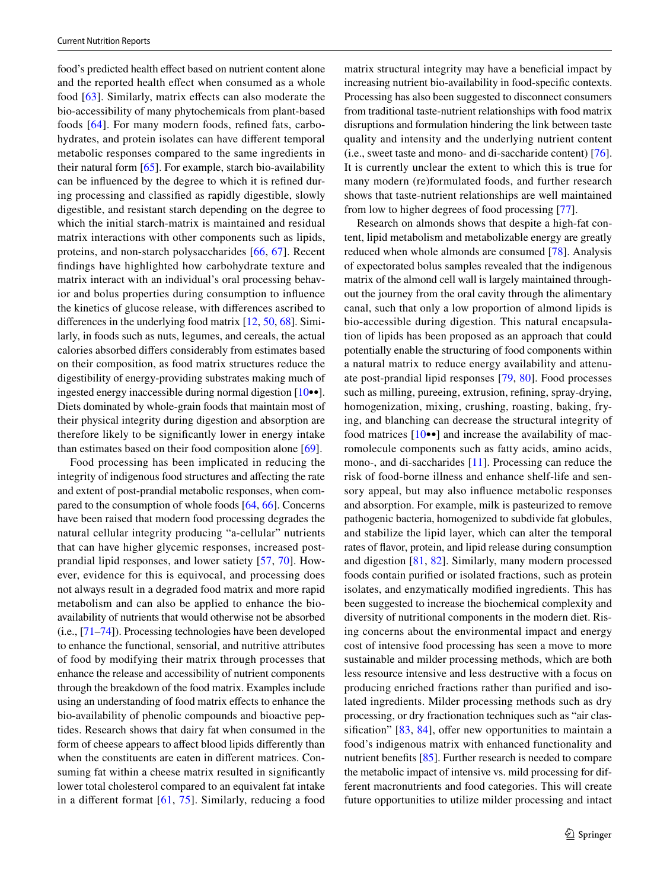food's predicted health effect based on nutrient content alone and the reported health effect when consumed as a whole food [[63](#page-7-29)]. Similarly, matrix effects can also moderate the bio-accessibility of many phytochemicals from plant-based foods [[64](#page-7-30)]. For many modern foods, refned fats, carbohydrates, and protein isolates can have diferent temporal metabolic responses compared to the same ingredients in their natural form [[65\]](#page-7-31). For example, starch bio-availability can be infuenced by the degree to which it is refned during processing and classifed as rapidly digestible, slowly digestible, and resistant starch depending on the degree to which the initial starch-matrix is maintained and residual matrix interactions with other components such as lipids, proteins, and non-starch polysaccharides [[66,](#page-7-32) [67\]](#page-7-33). Recent fndings have highlighted how carbohydrate texture and matrix interact with an individual's oral processing behavior and bolus properties during consumption to infuence the kinetics of glucose release, with diferences ascribed to diferences in the underlying food matrix [\[12](#page-6-10), [50](#page-7-16), [68\]](#page-7-34). Similarly, in foods such as nuts, legumes, and cereals, the actual calories absorbed difers considerably from estimates based on their composition, as food matrix structures reduce the digestibility of energy-providing substrates making much of ingested energy inaccessible during normal digestion [[10•](#page-6-8)•]. Diets dominated by whole-grain foods that maintain most of their physical integrity during digestion and absorption are therefore likely to be signifcantly lower in energy intake than estimates based on their food composition alone [[69\]](#page-7-35).

Food processing has been implicated in reducing the integrity of indigenous food structures and afecting the rate and extent of post-prandial metabolic responses, when compared to the consumption of whole foods [\[64](#page-7-30), [66](#page-7-32)]. Concerns have been raised that modern food processing degrades the natural cellular integrity producing "a-cellular" nutrients that can have higher glycemic responses, increased postprandial lipid responses, and lower satiety [[57,](#page-7-23) [70\]](#page-7-36). However, evidence for this is equivocal, and processing does not always result in a degraded food matrix and more rapid metabolism and can also be applied to enhance the bioavailability of nutrients that would otherwise not be absorbed (i.e., [\[71](#page-7-37)[–74](#page-8-0)]). Processing technologies have been developed to enhance the functional, sensorial, and nutritive attributes of food by modifying their matrix through processes that enhance the release and accessibility of nutrient components through the breakdown of the food matrix. Examples include using an understanding of food matrix efects to enhance the bio-availability of phenolic compounds and bioactive peptides. Research shows that dairy fat when consumed in the form of cheese appears to affect blood lipids differently than when the constituents are eaten in diferent matrices. Consuming fat within a cheese matrix resulted in significantly lower total cholesterol compared to an equivalent fat intake in a diferent format [[61](#page-7-27), [75\]](#page-8-1). Similarly, reducing a food matrix structural integrity may have a benefcial impact by increasing nutrient bio-availability in food-specifc contexts. Processing has also been suggested to disconnect consumers from traditional taste-nutrient relationships with food matrix disruptions and formulation hindering the link between taste quality and intensity and the underlying nutrient content (i.e., sweet taste and mono- and di-saccharide content) [\[76](#page-8-2)]. It is currently unclear the extent to which this is true for many modern (re)formulated foods, and further research shows that taste-nutrient relationships are well maintained from low to higher degrees of food processing [[77](#page-8-3)].

Research on almonds shows that despite a high-fat content, lipid metabolism and metabolizable energy are greatly reduced when whole almonds are consumed [[78\]](#page-8-4). Analysis of expectorated bolus samples revealed that the indigenous matrix of the almond cell wall is largely maintained throughout the journey from the oral cavity through the alimentary canal, such that only a low proportion of almond lipids is bio-accessible during digestion. This natural encapsulation of lipids has been proposed as an approach that could potentially enable the structuring of food components within a natural matrix to reduce energy availability and attenuate post-prandial lipid responses [\[79](#page-8-5), [80](#page-8-6)]. Food processes such as milling, pureeing, extrusion, refning, spray-drying, homogenization, mixing, crushing, roasting, baking, frying, and blanching can decrease the structural integrity of food matrices  $[10\bullet\bullet]$  and increase the availability of macromolecule components such as fatty acids, amino acids, mono-, and di-saccharides [[11\]](#page-6-9). Processing can reduce the risk of food-borne illness and enhance shelf-life and sensory appeal, but may also infuence metabolic responses and absorption. For example, milk is pasteurized to remove pathogenic bacteria, homogenized to subdivide fat globules, and stabilize the lipid layer, which can alter the temporal rates of favor, protein, and lipid release during consumption and digestion [\[81](#page-8-7), [82](#page-8-8)]. Similarly, many modern processed foods contain purifed or isolated fractions, such as protein isolates, and enzymatically modifed ingredients. This has been suggested to increase the biochemical complexity and diversity of nutritional components in the modern diet. Rising concerns about the environmental impact and energy cost of intensive food processing has seen a move to more sustainable and milder processing methods, which are both less resource intensive and less destructive with a focus on producing enriched fractions rather than purifed and isolated ingredients. Milder processing methods such as dry processing, or dry fractionation techniques such as "air classification"  $[83, 84]$  $[83, 84]$  $[83, 84]$  $[83, 84]$  $[83, 84]$ , offer new opportunities to maintain a food's indigenous matrix with enhanced functionality and nutrient benefits [[85\]](#page-8-11). Further research is needed to compare the metabolic impact of intensive vs. mild processing for different macronutrients and food categories. This will create future opportunities to utilize milder processing and intact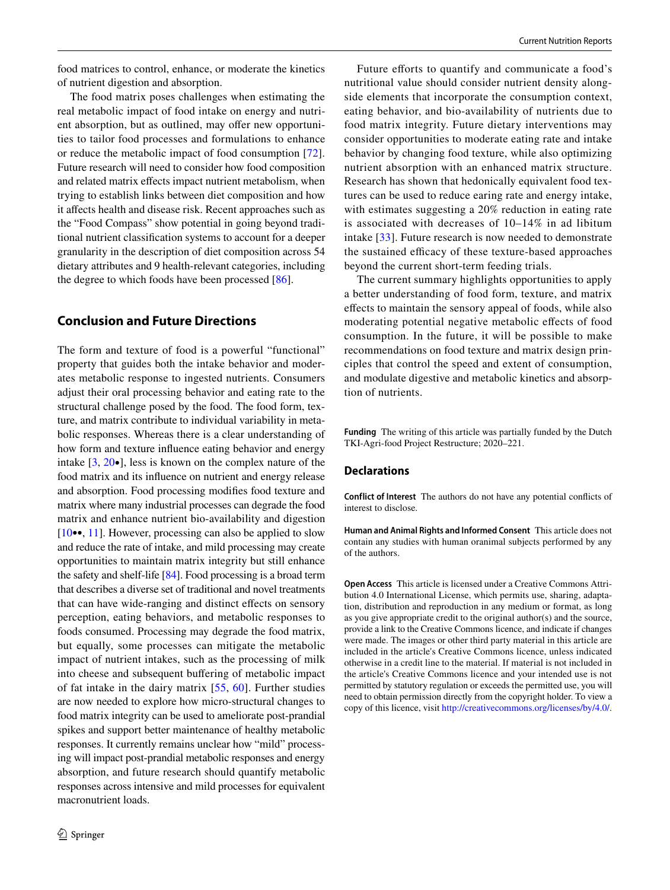food matrices to control, enhance, or moderate the kinetics of nutrient digestion and absorption.

The food matrix poses challenges when estimating the real metabolic impact of food intake on energy and nutrient absorption, but as outlined, may offer new opportunities to tailor food processes and formulations to enhance or reduce the metabolic impact of food consumption [[72](#page-7-38)]. Future research will need to consider how food composition and related matrix effects impact nutrient metabolism, when trying to establish links between diet composition and how it affects health and disease risk. Recent approaches such as the "Food Compass" show potential in going beyond traditional nutrient classifcation systems to account for a deeper granularity in the description of diet composition across 54 dietary attributes and 9 health-relevant categories, including the degree to which foods have been processed [\[86](#page-8-12)].

### **Conclusion and Future Directions**

The form and texture of food is a powerful "functional" property that guides both the intake behavior and moderates metabolic response to ingested nutrients. Consumers adjust their oral processing behavior and eating rate to the structural challenge posed by the food. The food form, texture, and matrix contribute to individual variability in metabolic responses. Whereas there is a clear understanding of how form and texture infuence eating behavior and energy intake [[3,](#page-6-2) [20](#page-6-18)•], less is known on the complex nature of the food matrix and its infuence on nutrient and energy release and absorption. Food processing modifes food texture and matrix where many industrial processes can degrade the food matrix and enhance nutrient bio-availability and digestion [\[10](#page-6-8)••, [11](#page-6-9)]. However, processing can also be applied to slow and reduce the rate of intake, and mild processing may create opportunities to maintain matrix integrity but still enhance the safety and shelf-life [\[84\]](#page-8-10). Food processing is a broad term that describes a diverse set of traditional and novel treatments that can have wide-ranging and distinct efects on sensory perception, eating behaviors, and metabolic responses to foods consumed. Processing may degrade the food matrix, but equally, some processes can mitigate the metabolic impact of nutrient intakes, such as the processing of milk into cheese and subsequent buffering of metabolic impact of fat intake in the dairy matrix [[55](#page-7-21), [60](#page-7-26)]. Further studies are now needed to explore how micro-structural changes to food matrix integrity can be used to ameliorate post-prandial spikes and support better maintenance of healthy metabolic responses. It currently remains unclear how "mild" processing will impact post-prandial metabolic responses and energy absorption, and future research should quantify metabolic responses across intensive and mild processes for equivalent macronutrient loads.

Future efforts to quantify and communicate a food's nutritional value should consider nutrient density alongside elements that incorporate the consumption context, eating behavior, and bio-availability of nutrients due to food matrix integrity. Future dietary interventions may consider opportunities to moderate eating rate and intake behavior by changing food texture, while also optimizing nutrient absorption with an enhanced matrix structure. Research has shown that hedonically equivalent food textures can be used to reduce earing rate and energy intake, with estimates suggesting a 20% reduction in eating rate is associated with decreases of 10–14% in ad libitum intake [\[33\]](#page-6-31). Future research is now needed to demonstrate the sustained efficacy of these texture-based approaches beyond the current short-term feeding trials.

The current summary highlights opportunities to apply a better understanding of food form, texture, and matrix efects to maintain the sensory appeal of foods, while also moderating potential negative metabolic efects of food consumption. In the future, it will be possible to make recommendations on food texture and matrix design principles that control the speed and extent of consumption, and modulate digestive and metabolic kinetics and absorption of nutrients.

**Funding** The writing of this article was partially funded by the Dutch TKI-Agri-food Project Restructure; 2020–221.

### **Declarations**

**Conflict of Interest** The authors do not have any potential conficts of interest to disclose.

**Human and Animal Rights and Informed Consent** This article does not contain any studies with human oranimal subjects performed by any of the authors.

**Open Access** This article is licensed under a Creative Commons Attribution 4.0 International License, which permits use, sharing, adaptation, distribution and reproduction in any medium or format, as long as you give appropriate credit to the original author(s) and the source, provide a link to the Creative Commons licence, and indicate if changes were made. The images or other third party material in this article are included in the article's Creative Commons licence, unless indicated otherwise in a credit line to the material. If material is not included in the article's Creative Commons licence and your intended use is not permitted by statutory regulation or exceeds the permitted use, you will need to obtain permission directly from the copyright holder. To view a copy of this licence, visit<http://creativecommons.org/licenses/by/4.0/>.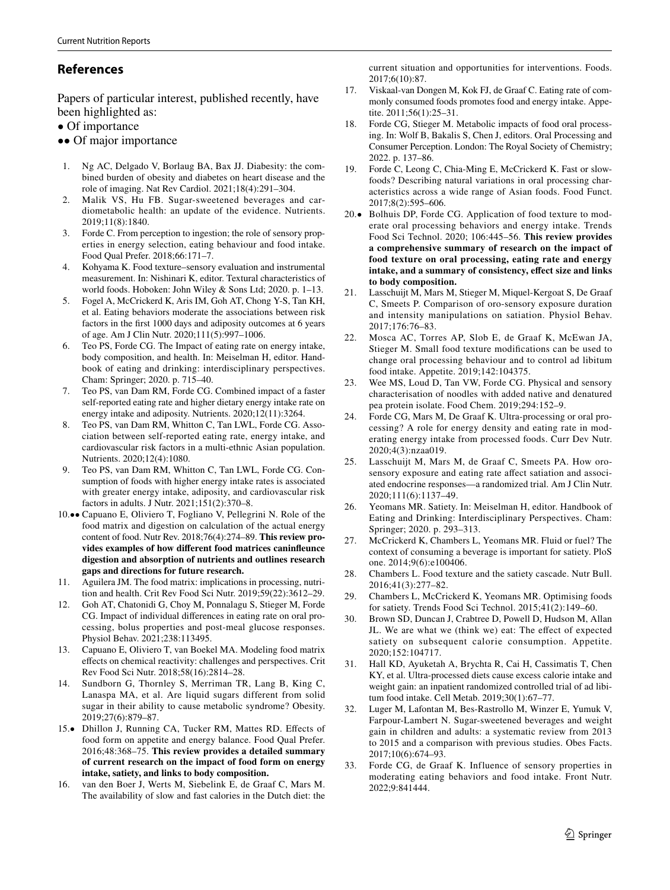# **References**

Papers of particular interest, published recently, have been highlighted as:

- Of importance
- •• Of major importance
- <span id="page-6-0"></span>1. Ng AC, Delgado V, Borlaug BA, Bax JJ. Diabesity: the combined burden of obesity and diabetes on heart disease and the role of imaging. Nat Rev Cardiol. 2021;18(4):291–304.
- <span id="page-6-1"></span>2. Malik VS, Hu FB. Sugar-sweetened beverages and cardiometabolic health: an update of the evidence. Nutrients. 2019;11(8):1840.
- <span id="page-6-2"></span>Forde C. From perception to ingestion; the role of sensory properties in energy selection, eating behaviour and food intake. Food Qual Prefer. 2018;66:171–7.
- <span id="page-6-3"></span>4. Kohyama K. Food texture–sensory evaluation and instrumental measurement. In: Nishinari K, editor. Textural characteristics of world foods. Hoboken: John Wiley & Sons Ltd; 2020. p. 1–13.
- <span id="page-6-4"></span>5. Fogel A, McCrickerd K, Aris IM, Goh AT, Chong Y-S, Tan KH, et al. Eating behaviors moderate the associations between risk factors in the frst 1000 days and adiposity outcomes at 6 years of age. Am J Clin Nutr. 2020;111(5):997–1006.
- <span id="page-6-5"></span>6. Teo PS, Forde CG. The Impact of eating rate on energy intake, body composition, and health. In: Meiselman H, editor. Handbook of eating and drinking: interdisciplinary perspectives. Cham: Springer; 2020. p. 715–40.
- <span id="page-6-6"></span>7. Teo PS, van Dam RM, Forde CG. Combined impact of a faster self-reported eating rate and higher dietary energy intake rate on energy intake and adiposity. Nutrients. 2020;12(11):3264.
- 8. Teo PS, van Dam RM, Whitton C, Tan LWL, Forde CG. Association between self-reported eating rate, energy intake, and cardiovascular risk factors in a multi-ethnic Asian population. Nutrients. 2020;12(4):1080.
- <span id="page-6-7"></span>9. Teo PS, van Dam RM, Whitton C, Tan LWL, Forde CG. Consumption of foods with higher energy intake rates is associated with greater energy intake, adiposity, and cardiovascular risk factors in adults. J Nutr. 2021;151(2):370–8.
- <span id="page-6-8"></span>10.•• Capuano E, Oliviero T, Fogliano V, Pellegrini N. Role of the food matrix and digestion on calculation of the actual energy content of food. Nutr Rev. 2018;76(4):274–89. **This review provides examples of how diferent food matrices caninfeunce digestion and absorption of nutrients and outlines research gaps and directions for future research.**
- <span id="page-6-9"></span>11. Aguilera JM. The food matrix: implications in processing, nutrition and health. Crit Rev Food Sci Nutr. 2019;59(22):3612–29.
- <span id="page-6-10"></span>12. Goh AT, Chatonidi G, Choy M, Ponnalagu S, Stieger M, Forde CG. Impact of individual diferences in eating rate on oral processing, bolus properties and post-meal glucose responses. Physiol Behav. 2021;238:113495.
- <span id="page-6-11"></span>13. Capuano E, Oliviero T, van Boekel MA. Modeling food matrix efects on chemical reactivity: challenges and perspectives. Crit Rev Food Sci Nutr. 2018;58(16):2814–28.
- <span id="page-6-12"></span>14. Sundborn G, Thornley S, Merriman TR, Lang B, King C, Lanaspa MA, et al. Are liquid sugars different from solid sugar in their ability to cause metabolic syndrome? Obesity. 2019;27(6):879–87.
- <span id="page-6-13"></span>15.• Dhillon J, Running CA, Tucker RM, Mattes RD. Efects of food form on appetite and energy balance. Food Qual Prefer. 2016;48:368–75. **This review provides a detailed summary of current research on the impact of food form on energy intake, satiety, and links to body composition.**
- <span id="page-6-14"></span>16. van den Boer J, Werts M, Siebelink E, de Graaf C, Mars M. The availability of slow and fast calories in the Dutch diet: the

current situation and opportunities for interventions. Foods. 2017;6(10):87.

- <span id="page-6-15"></span>17. Viskaal-van Dongen M, Kok FJ, de Graaf C. Eating rate of commonly consumed foods promotes food and energy intake. Appetite. 2011;56(1):25–31.
- <span id="page-6-16"></span>18. Forde CG, Stieger M. Metabolic impacts of food oral processing. In: Wolf B, Bakalis S, Chen J, editors. Oral Processing and Consumer Perception. London: The Royal Society of Chemistry; 2022. p. 137–86.
- <span id="page-6-17"></span>19. Forde C, Leong C, Chia-Ming E, McCrickerd K. Fast or slowfoods? Describing natural variations in oral processing characteristics across a wide range of Asian foods. Food Funct. 2017;8(2):595–606.
- <span id="page-6-18"></span>20.• Bolhuis DP, Forde CG. Application of food texture to moderate oral processing behaviors and energy intake. Trends Food Sci Technol. 2020; 106:445–56. **This review provides a comprehensive summary of research on the impact of food texture on oral processing, eating rate and energy intake, and a summary of consistency, efect size and links to body composition.**
- <span id="page-6-19"></span>Lasschuijt M, Mars M, Stieger M, Miquel-Kergoat S, De Graaf C, Smeets P. Comparison of oro-sensory exposure duration and intensity manipulations on satiation. Physiol Behav. 2017;176:76–83.
- <span id="page-6-20"></span>22. Mosca AC, Torres AP, Slob E, de Graaf K, McEwan JA, Stieger M. Small food texture modifcations can be used to change oral processing behaviour and to control ad libitum food intake. Appetite. 2019;142:104375.
- <span id="page-6-21"></span>23. Wee MS, Loud D, Tan VW, Forde CG. Physical and sensory characterisation of noodles with added native and denatured pea protein isolate. Food Chem. 2019;294:152–9.
- <span id="page-6-22"></span>24. Forde CG, Mars M, De Graaf K. Ultra-processing or oral processing? A role for energy density and eating rate in moderating energy intake from processed foods. Curr Dev Nutr. 2020;4(3):nzaa019.
- <span id="page-6-23"></span>25. Lasschuijt M, Mars M, de Graaf C, Smeets PA. How orosensory exposure and eating rate affect satiation and associated endocrine responses—a randomized trial. Am J Clin Nutr. 2020;111(6):1137–49.
- <span id="page-6-24"></span>26. Yeomans MR. Satiety. In: Meiselman H, editor. Handbook of Eating and Drinking: Interdisciplinary Perspectives. Cham: Springer; 2020. p. 293–313.
- <span id="page-6-25"></span>27. McCrickerd K, Chambers L, Yeomans MR. Fluid or fuel? The context of consuming a beverage is important for satiety. PloS one. 2014;9(6):e100406.
- <span id="page-6-26"></span>28. Chambers L. Food texture and the satiety cascade. Nutr Bull. 2016;41(3):277–82.
- <span id="page-6-27"></span>29. Chambers L, McCrickerd K, Yeomans MR. Optimising foods for satiety. Trends Food Sci Technol. 2015;41(2):149–60.
- <span id="page-6-28"></span>30. Brown SD, Duncan J, Crabtree D, Powell D, Hudson M, Allan JL. We are what we (think we) eat: The efect of expected satiety on subsequent calorie consumption. Appetite. 2020;152:104717.
- <span id="page-6-29"></span>31. Hall KD, Ayuketah A, Brychta R, Cai H, Cassimatis T, Chen KY, et al. Ultra-processed diets cause excess calorie intake and weight gain: an inpatient randomized controlled trial of ad libitum food intake. Cell Metab. 2019;30(1):67–77.
- <span id="page-6-30"></span>32. Luger M, Lafontan M, Bes-Rastrollo M, Winzer E, Yumuk V, Farpour-Lambert N. Sugar-sweetened beverages and weight gain in children and adults: a systematic review from 2013 to 2015 and a comparison with previous studies. Obes Facts. 2017;10(6):674–93.
- <span id="page-6-31"></span>33. Forde CG, de Graaf K. Influence of sensory properties in moderating eating behaviors and food intake. Front Nutr. 2022;9:841444.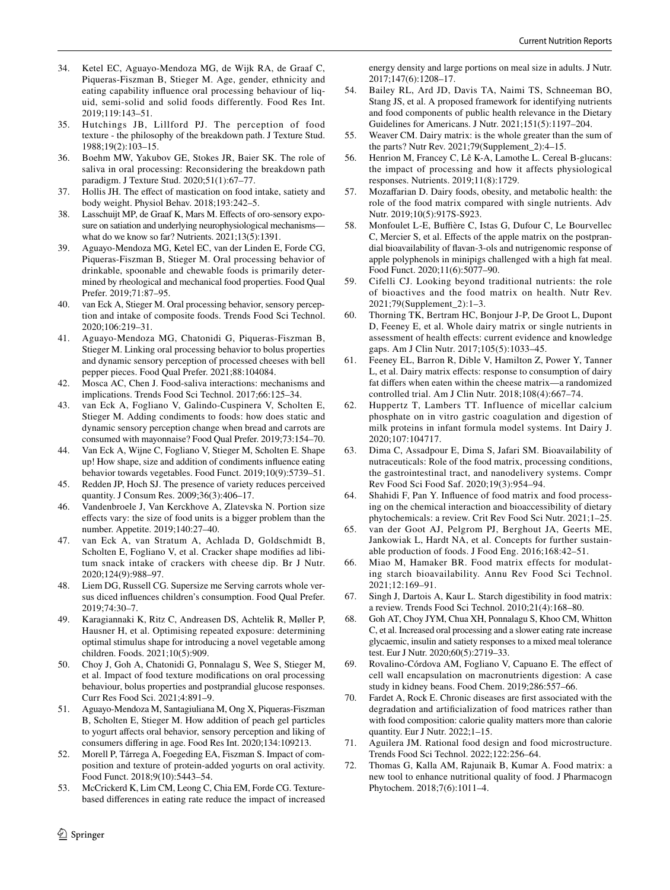- <span id="page-7-0"></span>34. Ketel EC, Aguayo-Mendoza MG, de Wijk RA, de Graaf C, Piqueras-Fiszman B, Stieger M. Age, gender, ethnicity and eating capability infuence oral processing behaviour of liquid, semi-solid and solid foods differently. Food Res Int. 2019;119:143–51.
- <span id="page-7-1"></span>35. Hutchings JB, Lillford PJ. The perception of food texture - the philosophy of the breakdown path. J Texture Stud. 1988;19(2):103–15.
- <span id="page-7-2"></span>36. Boehm MW, Yakubov GE, Stokes JR, Baier SK. The role of saliva in oral processing: Reconsidering the breakdown path paradigm. J Texture Stud. 2020;51(1):67–77.
- <span id="page-7-3"></span>37. Hollis JH. The efect of mastication on food intake, satiety and body weight. Physiol Behav. 2018;193:242–5.
- <span id="page-7-4"></span>38. Lasschuijt MP, de Graaf K, Mars M. Efects of oro-sensory exposure on satiation and underlying neurophysiological mechanisms what do we know so far? Nutrients. 2021;13(5):1391.
- <span id="page-7-5"></span>39. Aguayo-Mendoza MG, Ketel EC, van der Linden E, Forde CG, Piqueras-Fiszman B, Stieger M. Oral processing behavior of drinkable, spoonable and chewable foods is primarily determined by rheological and mechanical food properties. Food Qual Prefer. 2019;71:87–95.
- <span id="page-7-6"></span>40. van Eck A, Stieger M. Oral processing behavior, sensory perception and intake of composite foods. Trends Food Sci Technol. 2020;106:219–31.
- <span id="page-7-7"></span>41. Aguayo-Mendoza MG, Chatonidi G, Piqueras-Fiszman B, Stieger M. Linking oral processing behavior to bolus properties and dynamic sensory perception of processed cheeses with bell pepper pieces. Food Qual Prefer. 2021;88:104084.
- <span id="page-7-8"></span>42. Mosca AC, Chen J. Food-saliva interactions: mechanisms and implications. Trends Food Sci Technol. 2017;66:125–34.
- <span id="page-7-9"></span>43. van Eck A, Fogliano V, Galindo-Cuspinera V, Scholten E, Stieger M. Adding condiments to foods: how does static and dynamic sensory perception change when bread and carrots are consumed with mayonnaise? Food Qual Prefer. 2019;73:154–70.
- <span id="page-7-10"></span>44. Van Eck A, Wijne C, Fogliano V, Stieger M, Scholten E. Shape up! How shape, size and addition of condiments infuence eating behavior towards vegetables. Food Funct. 2019;10(9):5739–51.
- <span id="page-7-11"></span>45. Redden JP, Hoch SJ. The presence of variety reduces perceived quantity. J Consum Res. 2009;36(3):406–17.
- <span id="page-7-12"></span>46. Vandenbroele J, Van Kerckhove A, Zlatevska N. Portion size efects vary: the size of food units is a bigger problem than the number. Appetite. 2019;140:27–40.
- <span id="page-7-13"></span>47. van Eck A, van Stratum A, Achlada D, Goldschmidt B, Scholten E, Fogliano V, et al. Cracker shape modifes ad libitum snack intake of crackers with cheese dip. Br J Nutr. 2020;124(9):988–97.
- <span id="page-7-14"></span>48. Liem DG, Russell CG. Supersize me Serving carrots whole versus diced infuences children's consumption. Food Qual Prefer. 2019;74:30–7.
- <span id="page-7-15"></span>49. Karagiannaki K, Ritz C, Andreasen DS, Achtelik R, Møller P, Hausner H, et al. Optimising repeated exposure: determining optimal stimulus shape for introducing a novel vegetable among children. Foods. 2021;10(5):909.
- <span id="page-7-16"></span>50. Choy J, Goh A, Chatonidi G, Ponnalagu S, Wee S, Stieger M, et al. Impact of food texture modifcations on oral processing behaviour, bolus properties and postprandial glucose responses. Curr Res Food Sci. 2021;4:891–9.
- <span id="page-7-17"></span>51. Aguayo-Mendoza M, Santagiuliana M, Ong X, Piqueras-Fiszman B, Scholten E, Stieger M. How addition of peach gel particles to yogurt afects oral behavior, sensory perception and liking of consumers difering in age. Food Res Int. 2020;134:109213.
- <span id="page-7-18"></span>52. Morell P, Tárrega A, Foegeding EA, Fiszman S. Impact of composition and texture of protein-added yogurts on oral activity. Food Funct. 2018;9(10):5443–54.
- <span id="page-7-19"></span>53. McCrickerd K, Lim CM, Leong C, Chia EM, Forde CG. Texturebased diferences in eating rate reduce the impact of increased

energy density and large portions on meal size in adults. J Nutr. 2017;147(6):1208–17.

- <span id="page-7-20"></span>54. Bailey RL, Ard JD, Davis TA, Naimi TS, Schneeman BO, Stang JS, et al. A proposed framework for identifying nutrients and food components of public health relevance in the Dietary Guidelines for Americans. J Nutr. 2021;151(5):1197–204.
- <span id="page-7-21"></span>55. Weaver CM. Dairy matrix: is the whole greater than the sum of the parts? Nutr Rev. 2021;79(Supplement\_2):4–15.
- <span id="page-7-22"></span>56. Henrion M, Francey C, Lê K-A, Lamothe L. Cereal B-glucans: the impact of processing and how it affects physiological responses. Nutrients. 2019;11(8):1729.
- <span id="page-7-23"></span>57. Mozafarian D. Dairy foods, obesity, and metabolic health: the role of the food matrix compared with single nutrients. Adv Nutr. 2019;10(5):917S-S923.
- <span id="page-7-24"></span>58. Monfoulet L-E, Bufère C, Istas G, Dufour C, Le Bourvellec C, Mercier S, et al. Efects of the apple matrix on the postprandial bioavailability of favan-3-ols and nutrigenomic response of apple polyphenols in minipigs challenged with a high fat meal. Food Funct. 2020;11(6):5077–90.
- <span id="page-7-25"></span>59. Cifelli CJ. Looking beyond traditional nutrients: the role of bioactives and the food matrix on health. Nutr Rev. 2021;79(Supplement\_2):1–3.
- <span id="page-7-26"></span>60. Thorning TK, Bertram HC, Bonjour J-P, De Groot L, Dupont D, Feeney E, et al. Whole dairy matrix or single nutrients in assessment of health effects: current evidence and knowledge gaps. Am J Clin Nutr. 2017;105(5):1033–45.
- <span id="page-7-27"></span>61. Feeney EL, Barron R, Dible V, Hamilton Z, Power Y, Tanner L, et al. Dairy matrix effects: response to consumption of dairy fat difers when eaten within the cheese matrix—a randomized controlled trial. Am J Clin Nutr. 2018;108(4):667–74.
- <span id="page-7-28"></span>62. Huppertz T, Lambers TT. Influence of micellar calcium phosphate on in vitro gastric coagulation and digestion of milk proteins in infant formula model systems. Int Dairy J. 2020;107:104717.
- <span id="page-7-29"></span>63. Dima C, Assadpour E, Dima S, Jafari SM. Bioavailability of nutraceuticals: Role of the food matrix, processing conditions, the gastrointestinal tract, and nanodelivery systems. Compr Rev Food Sci Food Saf. 2020;19(3):954–94.
- <span id="page-7-30"></span>64. Shahidi F, Pan Y. Infuence of food matrix and food processing on the chemical interaction and bioaccessibility of dietary phytochemicals: a review. Crit Rev Food Sci Nutr. 2021;1–25.
- <span id="page-7-31"></span>65. van der Goot AJ, Pelgrom PJ, Berghout JA, Geerts ME, Jankowiak L, Hardt NA, et al. Concepts for further sustainable production of foods. J Food Eng. 2016;168:42–51.
- <span id="page-7-32"></span>66. Miao M, Hamaker BR. Food matrix effects for modulating starch bioavailability. Annu Rev Food Sci Technol. 2021;12:169–91.
- <span id="page-7-33"></span>67. Singh J, Dartois A, Kaur L. Starch digestibility in food matrix: a review. Trends Food Sci Technol. 2010;21(4):168–80.
- <span id="page-7-34"></span>68. Goh AT, Choy JYM, Chua XH, Ponnalagu S, Khoo CM, Whitton C, et al. Increased oral processing and a slower eating rate increase glycaemic, insulin and satiety responses to a mixed meal tolerance test. Eur J Nutr. 2020;60(5):2719–33.
- <span id="page-7-35"></span>69. Rovalino-Córdova AM, Fogliano V, Capuano E. The efect of cell wall encapsulation on macronutrients digestion: A case study in kidney beans. Food Chem. 2019;286:557–66.
- <span id="page-7-36"></span>70. Fardet A, Rock E. Chronic diseases are frst associated with the degradation and artifcialization of food matrices rather than with food composition: calorie quality matters more than calorie quantity. Eur J Nutr. 2022;1–15.
- <span id="page-7-37"></span>71. Aguilera JM. Rational food design and food microstructure. Trends Food Sci Technol. 2022;122:256–64.
- <span id="page-7-38"></span>72. Thomas G, Kalla AM, Rajunaik B, Kumar A. Food matrix: a new tool to enhance nutritional quality of food. J Pharmacogn Phytochem. 2018;7(6):1011–4.